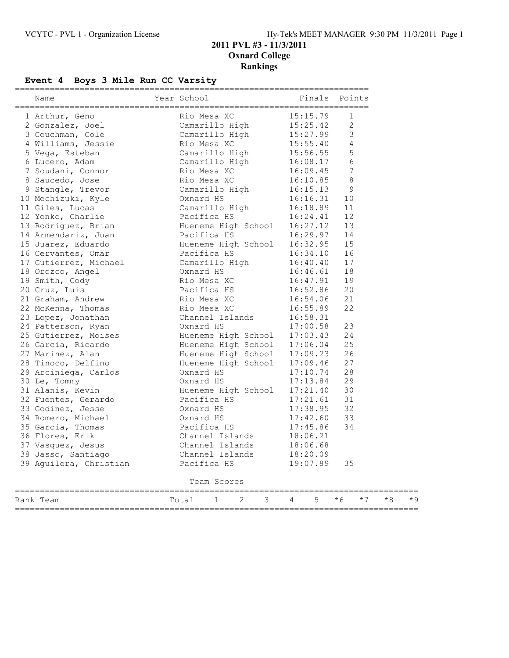## **Event 4 Boys 3 Mile Run CC Varsity**

| Name                               | Year School |                        |  |  | Finals Points                 |    |           |  |
|------------------------------------|-------------|------------------------|--|--|-------------------------------|----|-----------|--|
|                                    |             |                        |  |  |                               |    |           |  |
|                                    |             |                        |  |  |                               |    |           |  |
|                                    |             |                        |  |  |                               |    |           |  |
|                                    |             |                        |  |  |                               |    |           |  |
|                                    |             |                        |  |  |                               |    |           |  |
|                                    |             |                        |  |  |                               |    |           |  |
|                                    |             |                        |  |  |                               |    |           |  |
|                                    |             |                        |  |  |                               |    |           |  |
|                                    |             |                        |  |  |                               |    |           |  |
|                                    |             |                        |  |  |                               |    |           |  |
|                                    |             |                        |  |  |                               |    |           |  |
|                                    |             |                        |  |  |                               |    |           |  |
|                                    |             |                        |  |  |                               |    |           |  |
|                                    |             |                        |  |  |                               |    |           |  |
|                                    |             |                        |  |  |                               |    |           |  |
|                                    |             |                        |  |  |                               |    |           |  |
|                                    |             |                        |  |  |                               |    |           |  |
|                                    |             |                        |  |  |                               |    |           |  |
|                                    |             |                        |  |  |                               |    |           |  |
|                                    |             |                        |  |  |                               |    |           |  |
|                                    |             |                        |  |  |                               |    |           |  |
|                                    |             |                        |  |  |                               |    |           |  |
|                                    |             |                        |  |  |                               |    |           |  |
|                                    |             |                        |  |  |                               |    |           |  |
|                                    |             |                        |  |  |                               |    |           |  |
|                                    |             |                        |  |  |                               |    |           |  |
|                                    |             |                        |  |  |                               |    |           |  |
|                                    |             |                        |  |  |                               |    |           |  |
|                                    |             |                        |  |  |                               |    |           |  |
|                                    |             |                        |  |  |                               |    |           |  |
|                                    |             |                        |  |  |                               |    |           |  |
|                                    |             |                        |  |  |                               |    |           |  |
|                                    |             |                        |  |  |                               |    |           |  |
|                                    |             |                        |  |  |                               |    |           |  |
|                                    |             |                        |  |  |                               |    |           |  |
|                                    |             |                        |  |  |                               |    |           |  |
|                                    |             |                        |  |  |                               |    |           |  |
|                                    |             |                        |  |  |                               |    |           |  |
| 39 Aguilera, Christian Pacifica HS |             |                        |  |  | 18:20.09<br>19:07.89          | 35 |           |  |
|                                    |             | Team Scores            |  |  |                               |    |           |  |
|                                    |             |                        |  |  |                               |    |           |  |
| Rank Team                          | Total       | $1 \quad \blacksquare$ |  |  | $2 \t 3 \t 4 \t 5 \t \star 6$ |    | $*7$ $*8$ |  |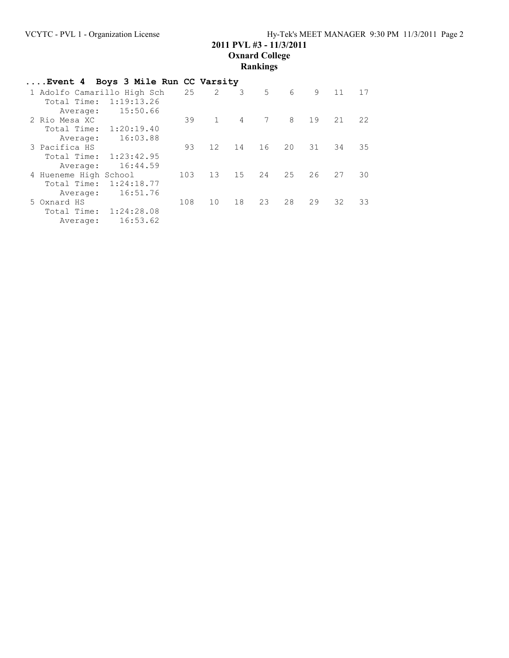## **2011 PVL #3 - 11/3/2011 Oxnard College**

## **Rankings**

| Event 4 Boys 3 Mile Run CC Varsity |            |     |                |                |    |    |    |    |    |
|------------------------------------|------------|-----|----------------|----------------|----|----|----|----|----|
| 1 Adolfo Camarillo High Sch        |            | 25  | $\overline{2}$ | 3              | 5  | 6  | 9  | 11 | 17 |
| Total Time:                        | 1:19:13.26 |     |                |                |    |    |    |    |    |
| Average:                           | 15:50.66   |     |                |                |    |    |    |    |    |
| 2 Rio Mesa XC                      |            | 39  | $\mathbf{1}$   | $\overline{4}$ | 7  | 8  | 19 | 21 | 22 |
| Total Time:                        | 1:20:19.40 |     |                |                |    |    |    |    |    |
| Average:                           | 16:03.88   |     |                |                |    |    |    |    |    |
| 3 Pacifica HS                      |            | 93  | 12             | 14             | 16 | 20 | 31 | 34 | 35 |
| Total Time:                        | 1:23:42.95 |     |                |                |    |    |    |    |    |
| Average:                           | 16:44.59   |     |                |                |    |    |    |    |    |
| 4 Hueneme High School              |            | 103 | 13             | 15             | 24 | 25 | 26 | 27 | 30 |
| Total Time:                        | 1:24:18.77 |     |                |                |    |    |    |    |    |
| Average:                           | 16:51.76   |     |                |                |    |    |    |    |    |
| 5 Oxnard HS                        |            | 108 | 10             | 18             | 23 | 28 | 29 | 32 | 33 |
| Total Time:                        | 1:24:28.08 |     |                |                |    |    |    |    |    |
| Average:                           | 16:53.62   |     |                |                |    |    |    |    |    |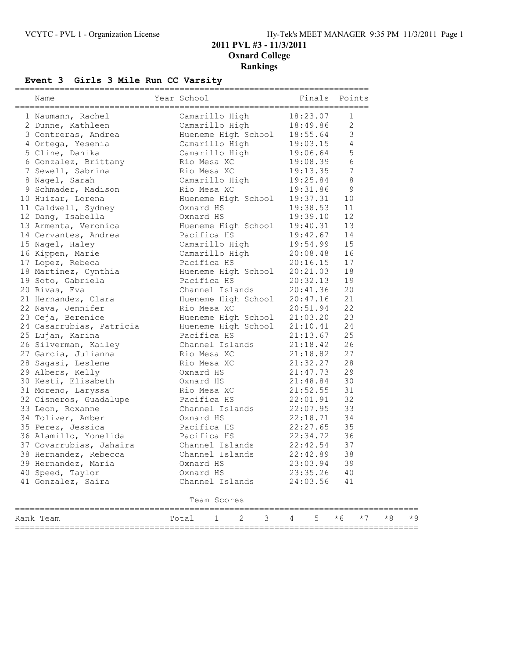## **Event 3 Girls 3 Mile Run CC Varsity**

| Name                                                                                                                                                                                    | Year School                                                                                                                     | Finals Points              |                 |      |     |
|-----------------------------------------------------------------------------------------------------------------------------------------------------------------------------------------|---------------------------------------------------------------------------------------------------------------------------------|----------------------------|-----------------|------|-----|
| 1 Naumann, Rachel Camarillo High 18:23.07<br>2 Dunne, Kathleen Camarillo High 18:49.86<br>3 Contreras, Andrea Hueneme High School 18:55.64<br>4 Ortega, Yesenia Camarillo High 19:03.15 |                                                                                                                                 | 18:23.07                   | 1               |      |     |
|                                                                                                                                                                                         |                                                                                                                                 |                            | $\mathbf{2}$    |      |     |
|                                                                                                                                                                                         |                                                                                                                                 |                            | $\mathsf 3$     |      |     |
|                                                                                                                                                                                         |                                                                                                                                 |                            | $\overline{4}$  |      |     |
| 5 Cline, Danika                                                                                                                                                                         | Camarillo High 19:06.64                                                                                                         |                            | 5               |      |     |
| 6 Gonzalez, Brittany Rio Mesa XC                                                                                                                                                        |                                                                                                                                 | 19:08.39                   | 6               |      |     |
| 7 Sewell, Sabrina                                                                                                                                                                       |                                                                                                                                 |                            | $7\phantom{.0}$ |      |     |
| 8 Nagel, Sarah                                                                                                                                                                          | Rio Mesa XC 19:13.35<br>Camarillo High 19:25.84<br>n Rio Mesa XC 19:31.86<br>Hueneme High School 19:37.31<br>Oxnard HS 19:38.53 |                            | $\,8\,$         |      |     |
| 9 Schmader, Madison                                                                                                                                                                     |                                                                                                                                 |                            | $\mathsf 9$     |      |     |
| 10 Huizar, Lorena                                                                                                                                                                       |                                                                                                                                 |                            | 10              |      |     |
| 11 Caldwell, Sydney                                                                                                                                                                     |                                                                                                                                 |                            | 11              |      |     |
| 12 Dang, Isabella                                                                                                                                                                       | Oxnard HS 19:39.10                                                                                                              |                            | 12              |      |     |
|                                                                                                                                                                                         |                                                                                                                                 |                            | 13              |      |     |
|                                                                                                                                                                                         |                                                                                                                                 |                            |                 |      |     |
|                                                                                                                                                                                         |                                                                                                                                 | 19:42.67 14<br>19:54.99 15 |                 |      |     |
| 16 Kippen, Marie                                                                                                                                                                        |                                                                                                                                 |                            | 16              |      |     |
| 17 Lopez, Rebeca                                                                                                                                                                        | Pacifica HS                                                                                                                     | 20:16.15                   | 17              |      |     |
| 18 Martinez, Cynthia (a) Hueneme High School 20:21.03                                                                                                                                   |                                                                                                                                 |                            | 18              |      |     |
| 19 Soto, Gabriela                                                                                                                                                                       | Pacifica HS                                                                                                                     | 20:32.13                   | 19              |      |     |
| 20 Rivas, Eva                                                                                                                                                                           | Channel Islands 20:41.36<br>Hueneme High School 20:47.16<br>Rio Mesa XC 20:51.94                                                |                            | 20              |      |     |
| 21 Hernandez, Clara                                                                                                                                                                     |                                                                                                                                 |                            | 21              |      |     |
| 22 Nava, Jennifer                                                                                                                                                                       |                                                                                                                                 |                            | 22              |      |     |
| 23 Ceja, Berenice                                                                                                                                                                       | Hueneme High School 21:03.20                                                                                                    |                            | 23              |      |     |
| 24 Casarrubias, Patricia Mueneme High School 21:10.41                                                                                                                                   |                                                                                                                                 |                            | 24              |      |     |
| 25 Lujan, Karina                                                                                                                                                                        | Pacifica HS 21:13.67                                                                                                            |                            | 25              |      |     |
| 26 Silverman, Kailey                                                                                                                                                                    |                                                                                                                                 | 21:18.42                   | 26              |      |     |
| 23 zi<br>27 Garcia, Julianna                                                                                                                                                            |                                                                                                                                 | 21:18.82                   | 27              |      |     |
| 28 Sagasi, Leslene                                                                                                                                                                      | Channel Islands 21:18.42<br>Rio Mesa XC 21:18.82<br>Rio Mesa XC 21:32.27                                                        |                            | 28              |      |     |
| 29 Albers, Kelly                                                                                                                                                                        | Oxnard HS 21:47.73                                                                                                              |                            | 29              |      |     |
| 30 Kesti, Elisabeth Cxnard HS 21:48.84                                                                                                                                                  |                                                                                                                                 |                            | 30              |      |     |
| 31 Moreno, Laryssa                                                                                                                                                                      | Rio Mesa XC                                                                                                                     | 21:52.55                   | 31              |      |     |
|                                                                                                                                                                                         |                                                                                                                                 | 22:01.91                   | 32              |      |     |
| 32 Cisneros, Guadalupe Pacifica HS 22:01.91<br>33 Leon, Roxanne Channel Islands 22:07.95<br>34 Toliver, Amber 0xnard HS 22:18.71<br>35 Perez, Jessica Pacifica HS 22:27.65              |                                                                                                                                 | $22:07.95$<br>$22:18.71$   | 33              |      |     |
|                                                                                                                                                                                         |                                                                                                                                 |                            | 34              |      |     |
|                                                                                                                                                                                         |                                                                                                                                 |                            | 35              |      |     |
| 36 Alamillo, Yonelida                                                                                                                                                                   | Pacifica HS                                                                                                                     | 22:34.72                   | 36              |      |     |
| 37 Covarrubias, Jahaira (channel Islands 22:42.54)<br>38 Hernandez, Rebecca (channel Islands 22:42.89)                                                                                  |                                                                                                                                 |                            | 37              |      |     |
| 38 Hernandez, Rebecca                                                                                                                                                                   | Channel Islands                                                                                                                 | 22:42.89                   | 38              |      |     |
| 39 Hernandez, Maria                                                                                                                                                                     | Oxnard HS                                                                                                                       | 23:03.94                   | 39              |      |     |
| 40 Speed, Taylor                                                                                                                                                                        | Oxnard HS                                                                                                                       | 23:35.26                   | 40              |      |     |
| 41 Gonzalez, Saira                                                                                                                                                                      | Channel Islands                                                                                                                 | 24:03.56                   | 41              |      |     |
|                                                                                                                                                                                         | Team Scores                                                                                                                     |                            |                 |      |     |
| Rank Team                                                                                                                                                                               | 2<br>3<br>1<br>Total                                                                                                            | 5<br>4                     | $*6$<br>$*7$    | $*8$ | * 9 |

=================================================================================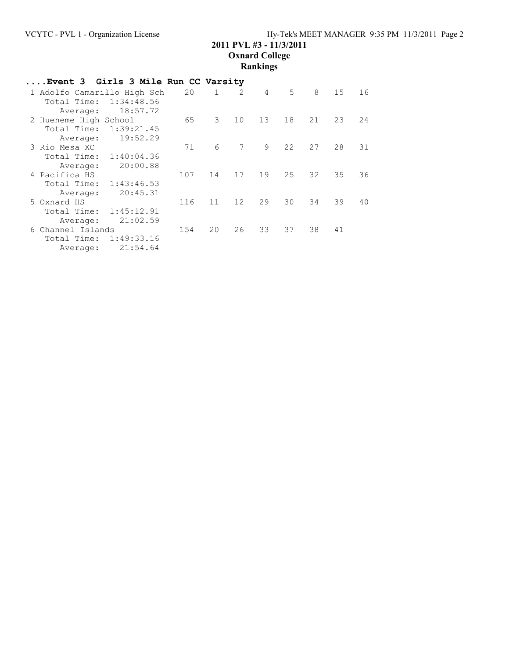# **2011 PVL #3 - 11/3/2011 Oxnard College**

|                                                             |                                      |     |               |                 | Rankings       |                |    |    |    |
|-------------------------------------------------------------|--------------------------------------|-----|---------------|-----------------|----------------|----------------|----|----|----|
|                                                             | Event 3  Girls 3 Mile Run CC Varsity |     |               |                 |                |                |    |    |    |
| 1 Adolfo Camarillo High Sch<br>Total Time:<br>Average:      | 1:34:48.56<br>18:57.72               | 20  | $\mathbf{1}$  | $\overline{2}$  | $\overline{4}$ | 5 <sup>5</sup> | 8  | 15 | 16 |
| 2 Hueneme High School<br>Total Time: 1:39:21.45<br>Average: | 19:52.29                             | 65  | $\mathcal{E}$ | 10              | 13             | 18             | 21 | 23 | 24 |
| 3 Rio Mesa XC<br>Total Time:<br>Average:                    | 1:40:04.36<br>20:00.88               | 71  | 6             | 7               | 9              | 22             | 27 | 28 | 31 |
| 4 Pacifica HS<br>Total Time:<br>Average:                    | 1:43:46.53<br>20:45.31               | 107 | 14            | 17              | 19             | 25             | 32 | 35 | 36 |
| 5 Oxnard HS<br>Total Time:<br>Average:                      | 1:45:12.91<br>21:02.59               | 116 | 11            | 12 <sup>7</sup> | 29             | 30             | 34 | 39 | 40 |
| 6 Channel Islands<br>Total Time:<br>Average:                | 1:49:33.16<br>21:54.64               | 154 | 20            | 26              | 33             | 37             | 38 | 41 |    |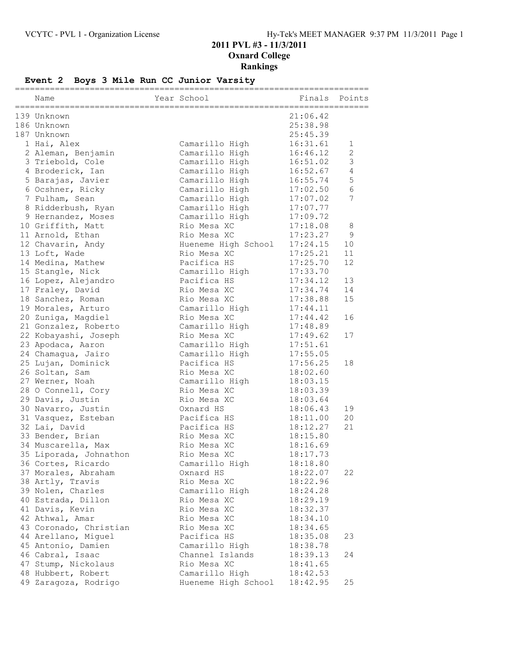## **Event 2 Boys 3 Mile Run CC Junior Varsity**

| Name                   | Year School         | Finals   | Points          |
|------------------------|---------------------|----------|-----------------|
|                        |                     |          |                 |
| 139 Unknown            |                     | 21:06.42 |                 |
| 186 Unknown            |                     | 25:38.98 |                 |
| 187 Unknown            |                     | 25:45.39 |                 |
| 1 Hai, Alex            | Camarillo High      | 16:31.61 | 1               |
| 2 Aleman, Benjamin     | Camarillo High      | 16:46.12 | $\mathbf{2}$    |
| 3 Triebold, Cole       | Camarillo High      | 16:51.02 | $\mathsf 3$     |
| 4 Broderick, Ian       | Camarillo High      | 16:52.67 | $\overline{4}$  |
| 5 Barajas, Javier      | Camarillo High      | 16:55.74 | 5               |
| 6 Ocshner, Ricky       | Camarillo High      | 17:02.50 | $6\phantom{.}6$ |
| 7 Fulham, Sean         | Camarillo High      | 17:07.02 | 7               |
| 8 Ridderbush, Ryan     | Camarillo High      | 17:07.77 |                 |
| 9 Hernandez, Moses     | Camarillo High      | 17:09.72 |                 |
| 10 Griffith, Matt      | Rio Mesa XC         | 17:18.08 | 8               |
| 11 Arnold, Ethan       | Rio Mesa XC         | 17:23.27 | $\mathsf 9$     |
| 12 Chavarin, Andy      | Hueneme High School | 17:24.15 | 10              |
| 13 Loft, Wade          | Rio Mesa XC         | 17:25.21 | 11              |
| 14 Medina, Mathew      | Pacifica HS         | 17:25.70 | 12              |
| 15 Stangle, Nick       | Camarillo High      | 17:33.70 |                 |
| 16 Lopez, Alejandro    | Pacifica HS         | 17:34.12 | 13              |
| 17 Fraley, David       | Rio Mesa XC         | 17:34.74 | 14              |
| 18 Sanchez, Roman      | Rio Mesa XC         | 17:38.88 | 15              |
| 19 Morales, Arturo     | Camarillo High      | 17:44.11 |                 |
| 20 Zuniga, Magdiel     | Rio Mesa XC         | 17:44.42 | 16              |
| 21 Gonzalez, Roberto   | Camarillo High      | 17:48.89 |                 |
| 22 Kobayashi, Joseph   | Rio Mesa XC         | 17:49.62 | 17              |
| 23 Apodaca, Aaron      | Camarillo High      | 17:51.61 |                 |
| 24 Chamagua, Jairo     | Camarillo High      | 17:55.05 |                 |
| 25 Lujan, Dominick     | Pacifica HS         | 17:56.25 | 18              |
| 26 Soltan, Sam         | Rio Mesa XC         | 18:02.60 |                 |
| 27 Werner, Noah        | Camarillo High      | 18:03.15 |                 |
| 28 O Connell, Cory     | Rio Mesa XC         | 18:03.39 |                 |
| 29 Davis, Justin       | Rio Mesa XC         | 18:03.64 |                 |
| 30 Navarro, Justin     | Oxnard HS           | 18:06.43 | 19              |
| 31 Vasquez, Esteban    | Pacifica HS         | 18:11.00 | 20              |
| 32 Lai, David          | Pacifica HS         | 18:12.27 | 21              |
| 33 Bender, Brian       | Rio Mesa XC         | 18:15.80 |                 |
| 34 Muscarella, Max     | Rio Mesa XC         | 18:16.69 |                 |
| 35 Liporada, Johnathon | Rio Mesa XC         | 18:17.73 |                 |
| 36 Cortes, Ricardo     | Camarillo High      | 18:18.80 |                 |
| 37 Morales, Abraham    | Oxnard HS           | 18:22.07 | 22              |
| 38 Artly, Travis       | Rio Mesa XC         | 18:22.96 |                 |
| 39 Nolen, Charles      | Camarillo High      | 18:24.28 |                 |
| 40 Estrada, Dillon     | Rio Mesa XC         | 18:29.19 |                 |
| 41 Davis, Kevin        | Rio Mesa XC         | 18:32.37 |                 |
| 42 Athwal, Amar        | Rio Mesa XC         | 18:34.10 |                 |
| 43 Coronado, Christian | Rio Mesa XC         | 18:34.65 |                 |
| 44 Arellano, Miquel    | Pacifica HS         | 18:35.08 | 23              |
| 45 Antonio, Damien     | Camarillo High      | 18:38.78 |                 |
| 46 Cabral, Isaac       | Channel Islands     | 18:39.13 | 24              |
| 47 Stump, Nickolaus    | Rio Mesa XC         | 18:41.65 |                 |
| 48 Hubbert, Robert     | Camarillo High      | 18:42.53 |                 |
| 49 Zaragoza, Rodrigo   | Hueneme High School | 18:42.95 | 25              |
|                        |                     |          |                 |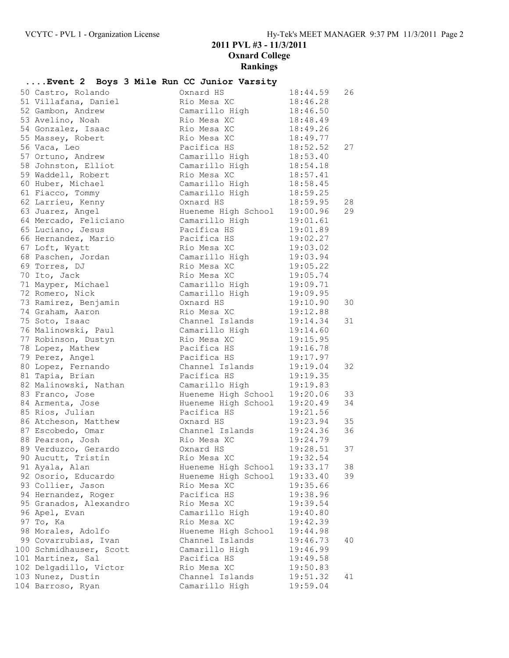### **2011 PVL #3 - 11/3/2011 Oxnard College**

**Rankings**

| Event 2 Boys 3 Mile Run CC Junior Varsity |  |                 |                     |          |    |
|-------------------------------------------|--|-----------------|---------------------|----------|----|
| 50 Castro, Rolando                        |  | Oxnard HS       |                     | 18:44.59 | 26 |
| 51 Villafana, Daniel                      |  | Rio Mesa XC     |                     | 18:46.28 |    |
| 52 Gambon, Andrew                         |  | Camarillo High  |                     | 18:46.50 |    |
| 53 Avelino, Noah                          |  | Rio Mesa XC     |                     | 18:48.49 |    |
| 54 Gonzalez, Isaac                        |  | Rio Mesa XC     |                     | 18:49.26 |    |
| 55 Massey, Robert                         |  | Rio Mesa XC     |                     | 18:49.77 |    |
| 56 Vaca, Leo                              |  | Pacifica HS     |                     | 18:52.52 | 27 |
| 57 Ortuno, Andrew                         |  | Camarillo High  |                     | 18:53.40 |    |
| 58 Johnston, Elliot                       |  | Camarillo High  |                     | 18:54.18 |    |
| 59 Waddell, Robert                        |  | Rio Mesa XC     |                     | 18:57.41 |    |
| 60 Huber, Michael                         |  | Camarillo High  |                     | 18:58.45 |    |
| 61 Fiacco, Tommy                          |  |                 | Camarillo High      | 18:59.25 |    |
| 62 Larrieu, Kenny                         |  | Oxnard HS       |                     | 18:59.95 | 28 |
| 63 Juarez, Angel                          |  |                 | Hueneme High School | 19:00.96 | 29 |
| 64 Mercado, Feliciano                     |  | Camarillo High  |                     | 19:01.61 |    |
| 65 Luciano, Jesus                         |  | Pacifica HS     |                     | 19:01.89 |    |
| 66 Hernandez, Mario                       |  | Pacifica HS     |                     | 19:02.27 |    |
| 67 Loft, Wyatt                            |  | Rio Mesa XC     |                     | 19:03.02 |    |
| 68 Paschen, Jordan                        |  | Camarillo High  |                     | 19:03.94 |    |
| 69 Torres, DJ                             |  | Rio Mesa XC     |                     | 19:05.22 |    |
| 70 Ito, Jack                              |  | Rio Mesa XC     |                     | 19:05.74 |    |
| 71 Mayper, Michael                        |  | Camarillo High  |                     | 19:09.71 |    |
| 72 Romero, Nick                           |  | Camarillo High  |                     | 19:09.95 |    |
| 73 Ramirez, Benjamin                      |  | Oxnard HS       |                     | 19:10.90 | 30 |
| 74 Graham, Aaron                          |  | Rio Mesa XC     |                     | 19:12.88 |    |
| 75 Soto, Isaac                            |  | Channel Islands |                     | 19:14.34 | 31 |
| 76 Malinowski, Paul                       |  | Camarillo High  |                     | 19:14.60 |    |
| 77 Robinson, Dustyn                       |  | Rio Mesa XC     |                     | 19:15.95 |    |
| 78 Lopez, Mathew                          |  | Pacifica HS     |                     | 19:16.78 |    |
| 79 Perez, Angel                           |  | Pacifica HS     |                     | 19:17.97 |    |
| 80 Lopez, Fernando                        |  | Channel Islands |                     | 19:19.04 | 32 |
| 81 Tapia, Brian                           |  | Pacifica HS     |                     | 19:19.35 |    |
| 82 Malinowski, Nathan                     |  | Camarillo High  |                     | 19:19.83 |    |
| 83 Franco, Jose                           |  |                 | Hueneme High School | 19:20.06 | 33 |
| 84 Armenta, Jose                          |  |                 | Hueneme High School | 19:20.49 | 34 |
| 85 Rios, Julian                           |  | Pacifica HS     |                     | 19:21.56 |    |
| 86 Atcheson, Matthew                      |  | Oxnard HS       |                     | 19:23.94 | 35 |
| 87 Escobedo, Omar                         |  | Channel Islands |                     | 19:24.36 | 36 |
| 88 Pearson, Josh                          |  | Rio Mesa XC     |                     | 19:24.79 |    |
| 89 Verduzco, Gerardo                      |  | Oxnard HS       |                     | 19:28.51 | 37 |
| 90 Aucutt, Tristin                        |  | Rio Mesa XC     |                     | 19:32.54 |    |
| 91 Ayala, Alan                            |  |                 | Hueneme High School | 19:33.17 | 38 |
| 92 Osorio, Educardo                       |  |                 | Hueneme High School | 19:33.40 | 39 |
| 93 Collier, Jason                         |  | Rio Mesa XC     |                     | 19:35.66 |    |
| 94 Hernandez, Roger                       |  | Pacifica HS     |                     | 19:38.96 |    |
| 95 Granados, Alexandro                    |  | Rio Mesa XC     |                     | 19:39.54 |    |
| 96 Apel, Evan                             |  | Camarillo High  |                     | 19:40.80 |    |
| 97 To, Ka                                 |  | Rio Mesa XC     |                     | 19:42.39 |    |
| 98 Morales, Adolfo                        |  |                 | Hueneme High School | 19:44.98 |    |
| 99 Covarrubias, Ivan                      |  | Channel Islands |                     | 19:46.73 | 40 |
| 100 Schmidhauser, Scott                   |  | Camarillo High  |                     | 19:46.99 |    |
| 101 Martinez, Sal                         |  | Pacifica HS     |                     | 19:49.58 |    |
| 102 Delgadillo, Victor                    |  | Rio Mesa XC     |                     | 19:50.83 |    |
| 103 Nunez, Dustin                         |  | Channel Islands |                     | 19:51.32 | 41 |
| 104 Barroso, Ryan                         |  | Camarillo High  |                     | 19:59.04 |    |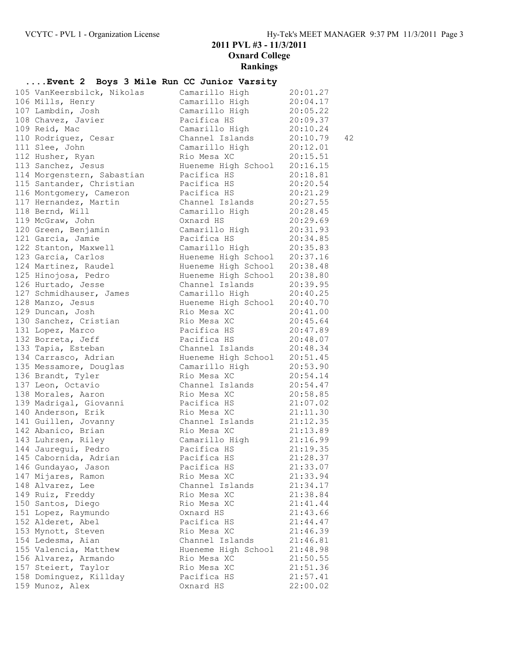#### **....Event 2 Boys 3 Mile Run CC Junior Varsity**

|  | 105 VanKeersbilck, Nikolas | Camarillo High          | 20:01.27       |
|--|----------------------------|-------------------------|----------------|
|  | 106 Mills, Henry           | Camarillo High          | 20:04.17       |
|  | 107 Lambdin, Josh          | Camarillo High          | 20:05.22       |
|  | 108 Chavez, Javier         | Pacifica HS             | 20:09.37       |
|  | 109 Reid, Mac              | Camarillo High          | 20:10.24       |
|  | 110 Rodriguez, Cesar       | Channel Islands         | 42<br>20:10.79 |
|  | 111 Slee, John             | Camarillo High          | 20:12.01       |
|  | 112 Husher, Ryan           | Rio Mesa XC             | 20:15.51       |
|  | 113 Sanchez, Jesus         | Hueneme High School     | 20:16.15       |
|  | 114 Morgenstern, Sabastian | Pacifica HS             | 20:18.81       |
|  | 115 Santander, Christian   | Pacifica HS             | 20:20.54       |
|  | 116 Montgomery, Cameron    | Pacifica HS             | 20:21.29       |
|  | 117 Hernandez, Martin      | Channel Islands         | 20:27.55       |
|  | 118 Bernd, Will            | Camarillo High          | 20:28.45       |
|  | 119 McGraw, John           | Oxnard HS               | 20:29.69       |
|  | 120 Green, Benjamin        | Camarillo High          | 20:31.93       |
|  | 121 Garcia, Jamie          | Pacifica HS             | 20:34.85       |
|  | 122 Stanton, Maxwell       | Camarillo High          | 20:35.83       |
|  | 123 Garcia, Carlos         | Hueneme High School     | 20:37.16       |
|  | 124 Martinez, Raudel       | Hueneme High School     | 20:38.48       |
|  | 125 Hinojosa, Pedro        | Hueneme High School     | 20:38.80       |
|  |                            |                         |                |
|  | 126 Hurtado, Jesse         | Channel Islands         | 20:39.95       |
|  | 127 Schmidhauser, James    | Camarillo High          | 20:40.25       |
|  | 128 Manzo, Jesus           | Hueneme High School     | 20:40.70       |
|  | 129 Duncan, Josh           | Rio Mesa XC             | 20:41.00       |
|  | 130 Sanchez, Cristian      | Rio Mesa XC             | 20:45.64       |
|  | 131 Lopez, Marco           | Pacifica HS             | 20:47.89       |
|  | 132 Borreta, Jeff          | Pacifica HS             | 20:48.07       |
|  | 133 Tapia, Esteban         | Channel Islands         | 20:48.34       |
|  | 134 Carrasco, Adrian       | Hueneme High School     | 20:51.45       |
|  | 135 Messamore, Douglas     | Camarillo High          | 20:53.90       |
|  | 136 Brandt, Tyler          | Rio Mesa XC             | 20:54.14       |
|  | 137 Leon, Octavio          | Channel Islands         | 20:54.47       |
|  | 138 Morales, Aaron         | Rio Mesa XC             | 20:58.85       |
|  | 139 Madrigal, Giovanni     | Pacifica HS             | 21:07.02       |
|  | 140 Anderson, Erik         | Rio Mesa XC             | 21:11.30       |
|  | 141 Guillen, Jovanny       | Channel Islands         | 21:12.35       |
|  | 142 Abanico, Brian         | Rio Mesa XC             | 21:13.89       |
|  | 143 Luhrsen, Riley         | Camarillo High          | 21:16.99       |
|  | 144 Jauregui, Pedro        | 21:19.35<br>Pacifica HS |                |
|  | 145 Cabornida, Adrian      | Pacifica HS             | 21:28.37       |
|  | 146 Gundayao, Jason        | Pacifica HS             | 21:33.07       |
|  | 147 Mijares, Ramon         | Rio Mesa XC             | 21:33.94       |
|  | 148 Alvarez, Lee           | Channel Islands         | 21:34.17       |
|  | 149 Ruiz, Freddy           | Rio Mesa XC             | 21:38.84       |
|  | 150 Santos, Diego          | Rio Mesa XC             | 21:41.44       |
|  | 151 Lopez, Raymundo        | Oxnard HS               | 21:43.66       |
|  | 152 Alderet, Abel          | Pacifica HS             | 21:44.47       |
|  | 153 Mynott, Steven         | Rio Mesa XC             | 21:46.39       |
|  | 154 Ledesma, Aian          | Channel Islands         | 21:46.81       |
|  | 155 Valencia, Matthew      | Hueneme High School     | 21:48.98       |
|  | 156 Alvarez, Armando       | Rio Mesa XC             | 21:50.55       |
|  | 157 Steiert, Taylor        | Rio Mesa XC             | 21:51.36       |
|  |                            | Pacifica HS             |                |
|  | 158 Dominguez, Killday     |                         | 21:57.41       |
|  | 159 Munoz, Alex            | Oxnard HS               | 22:00.02       |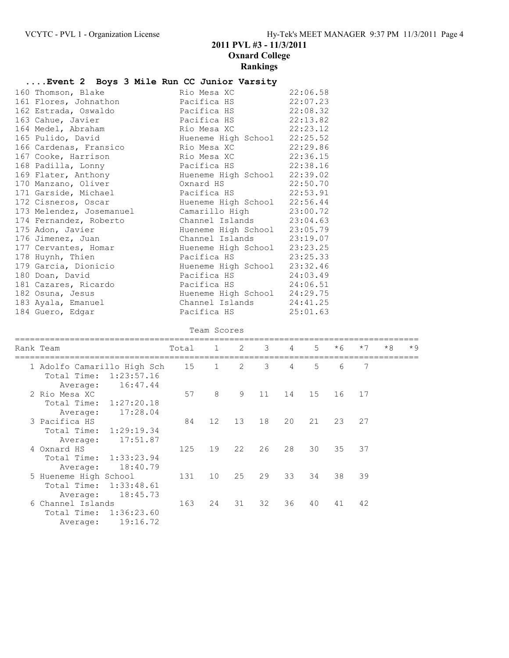### **....Event 2 Boys 3 Mile Run CC Junior Varsity**

| 160 Thomson, Blake       | Rio Mesa XC                  | 22:06.58 |
|--------------------------|------------------------------|----------|
| 161 Flores, Johnathon    | Pacifica HS                  | 22:07.23 |
| 162 Estrada, Oswaldo     | Pacifica HS 22:08.32         |          |
| 163 Cahue, Javier        | Pacifica HS                  | 22:13.82 |
| 164 Medel, Abraham       | Rio Mesa XC 22:23.12         |          |
| 165 Pulido, David        | Hueneme High School 22:25.52 |          |
| 166 Cardenas, Fransico   | Rio Mesa XC                  | 22:29.86 |
| 167 Cooke, Harrison      | Rio Mesa XC                  | 22:36.15 |
| 168 Padilla, Lonny       | Pacifica HS 22:38.16         |          |
| 169 Flater, Anthony      | Hueneme High School 22:39.02 |          |
| 170 Manzano, Oliver      | Oxnard HS                    | 22:50.70 |
| 171 Garside, Michael     | Pacifica HS                  | 22:53.91 |
| 172 Cisneros, Oscar      | Hueneme High School 22:56.44 |          |
| 173 Melendez, Josemanuel | Camarillo High 23:00.72      |          |
| 174 Fernandez, Roberto   | Channel Islands 23:04.63     |          |
| 175 Adon, Javier         | Hueneme High School 23:05.79 |          |
| 176 Jimenez, Juan        | Channel Islands 23:19.07     |          |
| 177 Cervantes, Homar     | Hueneme High School 23:23.25 |          |
| 178 Huynh, Thien         | Pacifica HS 23:25.33         |          |
| 179 Garcia, Dionicio     | Hueneme High School          | 23:32.46 |
| 180 Doan, David          | Pacifica HS 24:03.49         |          |
| 181 Cazares, Ricardo     | Pacifica HS 24:06.51         |          |
| 182 Osuna, Jesus         | Hueneme High School 24:29.75 |          |
| 183 Ayala, Emanuel       | Channel Islands 24:41.25     |          |
| 184 Guero, Edgar         | Pacifica HS 25:01.63         |          |

Team Scores

|  | Rank Team                                                | Total 1 |                 | $\overline{2}$ | $3^{\circ}$ | $\overline{4}$ | 5 <sup>7</sup> | $*6$ | $*7$ | $*8$ | $*9$ |
|--|----------------------------------------------------------|---------|-----------------|----------------|-------------|----------------|----------------|------|------|------|------|
|  | 1 Adolfo Camarillo High Sch<br>Total Time:<br>1:23:57.16 | 15      | $\mathbf{1}$    | 2              | 3           | 4              | 5              | 6    | 7    |      |      |
|  | 16:47.44<br>Average:                                     |         |                 |                |             |                |                |      |      |      |      |
|  | 2 Rio Mesa XC                                            | 57      | 8               | 9              | 11          | 14             | 15             | 16   | 17   |      |      |
|  | Total Time:<br>1:27:20.18                                |         |                 |                |             |                |                |      |      |      |      |
|  | 17:28.04<br>Average:                                     |         |                 |                |             |                |                |      |      |      |      |
|  | 3 Pacifica HS                                            | 84      | 12              | 13             | 18          | 20             | 21             | 23   | 27   |      |      |
|  | 1:29:19.34<br>Total Time:                                |         |                 |                |             |                |                |      |      |      |      |
|  | 17:51.87<br>Average:                                     |         |                 |                |             |                |                |      |      |      |      |
|  | 4 Oxnard HS                                              | 125     | 19              | 22             | 26          | 28             | 30             | 35   | 37   |      |      |
|  | Total Time: 1:33:23.94                                   |         |                 |                |             |                |                |      |      |      |      |
|  | 18:40.79<br>Average:                                     |         |                 |                |             |                |                |      |      |      |      |
|  | 5 Hueneme High School                                    | 131     | 10 <sup>°</sup> | 25             | 29          | 33             | 34             | 38   | 39   |      |      |
|  | Total Time:<br>1:33:48.61                                |         |                 |                |             |                |                |      |      |      |      |
|  | 18:45.73<br>Average:                                     |         |                 |                |             |                |                |      |      |      |      |
|  | 6 Channel Islands                                        | 163     | 24              | 31             | 32          | 36             | 40             | 41   | 42   |      |      |
|  | Total Time: 1:36:23.60                                   |         |                 |                |             |                |                |      |      |      |      |
|  | 19:16.72<br>Average:                                     |         |                 |                |             |                |                |      |      |      |      |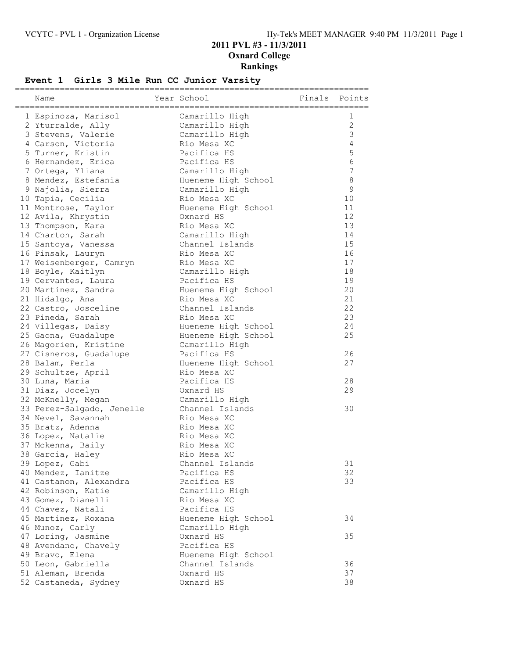### **Event 1 Girls 3 Mile Run CC Junior Varsity**

| Name                                     | Year School         | Finals | Points            |
|------------------------------------------|---------------------|--------|-------------------|
|                                          |                     |        |                   |
| 1 Espinoza, Marisol                      | Camarillo High      |        | 1<br>$\mathbf{2}$ |
| 2 Yturralde, Ally                        | Camarillo High      |        | 3                 |
| 3 Stevens, Valerie<br>4 Carson, Victoria | Camarillo High      |        |                   |
|                                          | Rio Mesa XC         |        | 4                 |
| 5 Turner, Kristin                        | Pacifica HS         |        | $\mathsf S$       |
| 6 Hernandez, Erica                       | Pacifica HS         |        | 6                 |
| 7 Ortega, Yliana                         | Camarillo High      |        | 7                 |
| 8 Mendez, Estefania                      | Hueneme High School |        | 8                 |
| 9 Najolia, Sierra                        | Camarillo High      |        | $\mathsf 9$       |
| 10 Tapia, Cecilia                        | Rio Mesa XC         |        | 10                |
| 11 Montrose, Taylor                      | Hueneme High School |        | 11                |
| 12 Avila, Khrystin                       | Oxnard HS           |        | 12                |
| 13 Thompson, Kara                        | Rio Mesa XC         |        | 13                |
| 14 Charton, Sarah                        | Camarillo High      |        | 14                |
| 15 Santoya, Vanessa                      | Channel Islands     |        | 15                |
| 16 Pinsak, Lauryn                        | Rio Mesa XC         |        | 16                |
| 17 Weisenberger, Camryn                  | Rio Mesa XC         |        | 17                |
| 18 Boyle, Kaitlyn                        | Camarillo High      |        | 18                |
| 19 Cervantes, Laura                      | Pacifica HS         |        | 19                |
| 20 Martinez, Sandra                      | Hueneme High School |        | 20                |
| 21 Hidalgo, Ana                          | Rio Mesa XC         |        | 21                |
| 22 Castro, Josceline                     | Channel Islands     |        | 22                |
| 23 Pineda, Sarah                         | Rio Mesa XC         |        | 23                |
| 24 Villegas, Daisy                       | Hueneme High School |        | 24                |
| 25 Gaona, Guadalupe                      | Hueneme High School |        | 25                |
| 26 Magorien, Kristine                    | Camarillo High      |        |                   |
| 27 Cisneros, Guadalupe                   | Pacifica HS         |        | 26                |
| 28 Balam, Perla                          | Hueneme High School |        | 27                |
| 29 Schultze, April                       | Rio Mesa XC         |        |                   |
| 30 Luna, Maria                           | Pacifica HS         |        | 28                |
| 31 Diaz, Jocelyn                         | Oxnard HS           |        | 29                |
| 32 McKnelly, Megan                       | Camarillo High      |        |                   |
| 33 Perez-Salgado, Jenelle                | Channel Islands     |        | 30                |
| 34 Nevel, Savannah                       | Rio Mesa XC         |        |                   |
| 35 Bratz, Adenna                         | Rio Mesa XC         |        |                   |
| 36 Lopez, Natalie                        | Rio Mesa XC         |        |                   |
| 37 Mckenna, Baily                        | Rio Mesa XC         |        |                   |
| 38 Garcia, Haley                         | Rio Mesa XC         |        |                   |
| 39 Lopez, Gabi                           | Channel Islands     |        | 31                |
| 40 Mendez, Ianitze                       | Pacifica HS         |        | 32                |
| 41 Castanon, Alexandra                   | Pacifica HS         |        | 33                |
| 42 Robinson, Katie                       | Camarillo High      |        |                   |
| 43 Gomez, Dianelli                       | Rio Mesa XC         |        |                   |
| 44 Chavez, Natali                        | Pacifica HS         |        |                   |
| 45 Martinez, Roxana                      | Hueneme High School |        | 34                |
| 46 Munoz, Carly                          | Camarillo High      |        |                   |
| 47 Loring, Jasmine                       | Oxnard HS           |        | 35                |
| 48 Avendano, Chavely                     | Pacifica HS         |        |                   |
| 49 Bravo, Elena                          | Hueneme High School |        |                   |
| 50 Leon, Gabriella                       | Channel Islands     |        | 36                |
| 51 Aleman, Brenda                        | Oxnard HS           |        | 37                |
| 52 Castaneda, Sydney                     | Oxnard HS           |        | 38                |
|                                          |                     |        |                   |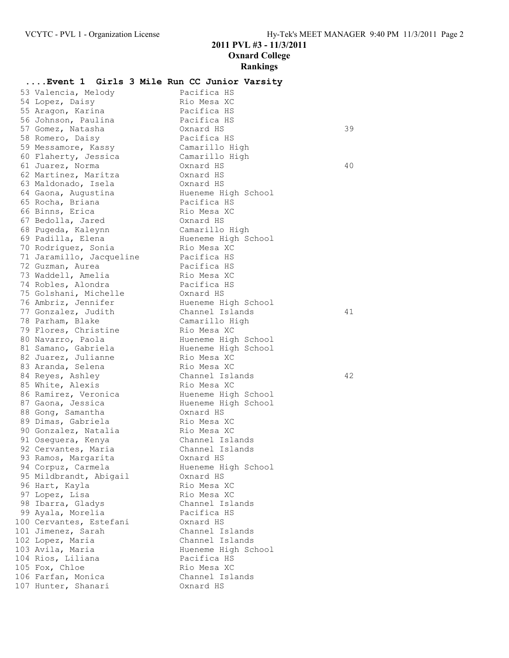|                                              | Event 1 Girls 3 Mile Run CC Junior Varsity |    |
|----------------------------------------------|--------------------------------------------|----|
| 53 Valencia, Melody                          | Pacifica HS                                |    |
| 54 Lopez, Daisy                              | Rio Mesa XC                                |    |
| 55 Aragon, Karina                            | Pacifica HS                                |    |
| 56 Johnson, Paulina                          | Pacifica HS                                |    |
| 57 Gomez, Natasha                            | Oxnard HS                                  | 39 |
| 58 Romero, Daisy                             | Pacifica HS                                |    |
| 59 Messamore, Kassy                          | Camarillo High                             |    |
| 60 Flaherty, Jessica                         | Camarillo High                             |    |
| 61 Juarez, Norma                             | Oxnard HS                                  | 40 |
| 62 Martinez, Maritza                         | Oxnard HS                                  |    |
| 63 Maldonado, Isela                          | Oxnard HS                                  |    |
| 64 Gaona, Augustina                          | Hueneme High School                        |    |
| 65 Rocha, Briana                             | Pacifica HS                                |    |
| 66 Binns, Erica                              | Rio Mesa XC                                |    |
| 67 Bedolla, Jared                            | Oxnard HS                                  |    |
| 68 Pugeda, Kaleynn                           | Camarillo High                             |    |
| 69 Padilla, Elena                            | Hueneme High School                        |    |
| 70 Rodriguez, Sonia                          | Rio Mesa XC                                |    |
| 71 Jaramillo, Jacqueline                     | Pacifica HS                                |    |
| 72 Guzman, Aurea                             | Pacifica HS                                |    |
| 73 Waddell, Amelia                           | Rio Mesa XC                                |    |
| 74 Robles, Alondra                           | Pacifica HS                                |    |
| 75 Golshani, Michelle<br>76 Ambriz, Jennifer | Oxnard HS                                  |    |
| 77 Gonzalez, Judith                          | Hueneme High School<br>Channel Islands     | 41 |
| 78 Parham, Blake                             | Camarillo High                             |    |
| 79 Flores, Christine                         | Rio Mesa XC                                |    |
| 80 Navarro, Paola                            | Hueneme High School                        |    |
| 81 Samano, Gabriela                          | Hueneme High School                        |    |
| 82 Juarez, Julianne                          | Rio Mesa XC                                |    |
| 83 Aranda, Selena                            | Rio Mesa XC                                |    |
| 84 Reyes, Ashley                             | Channel Islands                            | 42 |
| 85 White, Alexis                             | Rio Mesa XC                                |    |
| 86 Ramirez, Veronica                         | Hueneme High School                        |    |
| 87 Gaona, Jessica                            | Hueneme High School                        |    |
| 88 Gong, Samantha                            | Oxnard HS                                  |    |
| 89 Dimas, Gabriela                           | Rio Mesa XC                                |    |
| 90 Gonzalez, Natalia                         | Rio Mesa XC                                |    |
| 91 Oseguera, Kenya                           | Channel Islands                            |    |
| 92 Cervantes, Maria                          | Channel Islands                            |    |
| 93 Ramos, Margarita                          | Oxnard HS                                  |    |
| 94 Corpuz, Carmela                           | Hueneme High School                        |    |
| 95 Mildbrandt, Abigail                       | Oxnard HS                                  |    |
| 96 Hart, Kayla                               | Rio Mesa XC                                |    |
| 97 Lopez, Lisa                               | Rio Mesa XC                                |    |
| 98 Ibarra, Gladys                            | Channel Islands                            |    |
| 99 Ayala, Morelia                            | Pacifica HS                                |    |
| 100 Cervantes, Estefani                      | Oxnard HS                                  |    |
| 101 Jimenez, Sarah                           | Channel Islands                            |    |
| 102 Lopez, Maria                             | Channel Islands                            |    |
| 103 Avila, Maria                             | Hueneme High School                        |    |
| 104 Rios, Liliana                            | Pacifica HS                                |    |
| 105 Fox, Chloe                               | Rio Mesa XC                                |    |
| 106 Farfan, Monica                           | Channel Islands                            |    |
| 107 Hunter, Shanari                          | Oxnard HS                                  |    |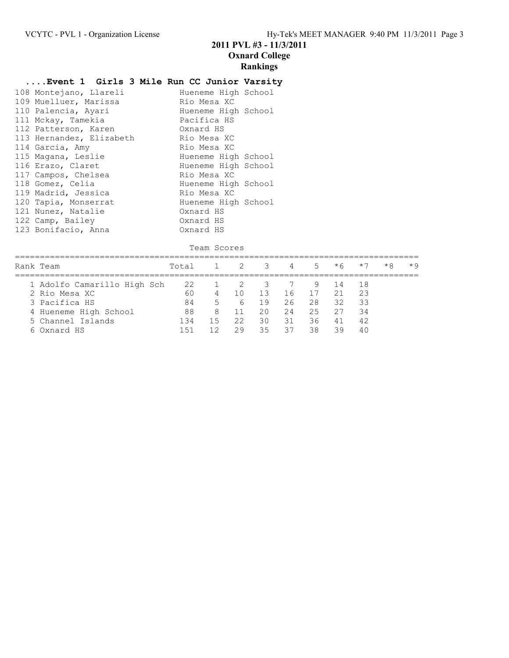## **....Event 1 Girls 3 Mile Run CC Junior Varsity**

| 108 Montejano, Llareli   | Hueneme High School |
|--------------------------|---------------------|
| 109 Muelluer, Marissa    | Rio Mesa XC         |
| 110 Palencia, Ayari      | Hueneme High School |
| 111 Mckay, Tamekia       | Pacifica HS         |
| 112 Patterson, Karen     | Oxnard HS           |
| 113 Hernandez, Elizabeth | Rio Mesa XC         |
| 114 Garcia, Amy          | Rio Mesa XC         |
| 115 Magana, Leslie       | Hueneme High School |
| 116 Erazo, Claret        | Hueneme High School |
| 117 Campos, Chelsea      | Rio Mesa XC         |
| 118 Gomez, Celia         | Hueneme High School |
| 119 Madrid, Jessica      | Rio Mesa XC         |
| 120 Tapia, Monserrat     | Hueneme High School |
| 121 Nunez, Natalie       | Oxnard HS           |
| 122 Camp, Bailey         | Oxnard HS           |
| 123 Bonifacio, Anna      | Oxnard HS           |

|  | Team Scores |
|--|-------------|
|  |             |

| Rank Team                        | Total        |        | $\overline{2}$ | -3         | 4        | $5 -$      | $*6$     | $*7$      | $*8$ | $*9$ |
|----------------------------------|--------------|--------|----------------|------------|----------|------------|----------|-----------|------|------|
| 1 Adolfo Camarillo High Sch      | 22           |        |                | -3         |          | 9.         | -14      | -18       |      |      |
| 2 Rio Mesa XC<br>3 Pacifica HS   | 60<br>84     | 4<br>5 | $\top$ ()<br>6 | -1.3<br>19 | 16<br>26 | - 17<br>28 | 21<br>32 | 23<br>-33 |      |      |
| 4 Hueneme High School            | 88           | 8      |                | 20         | 24       | 25         | 27       | 34        |      |      |
| 5 Channel Islands<br>6 Oxnard HS | 134<br>$+51$ | 15     | 22<br>29       | 30<br>35   | 31<br>37 | 36<br>38   | 41<br>39 | 42<br>4 N |      |      |
|                                  |              |        |                |            |          |            |          |           |      |      |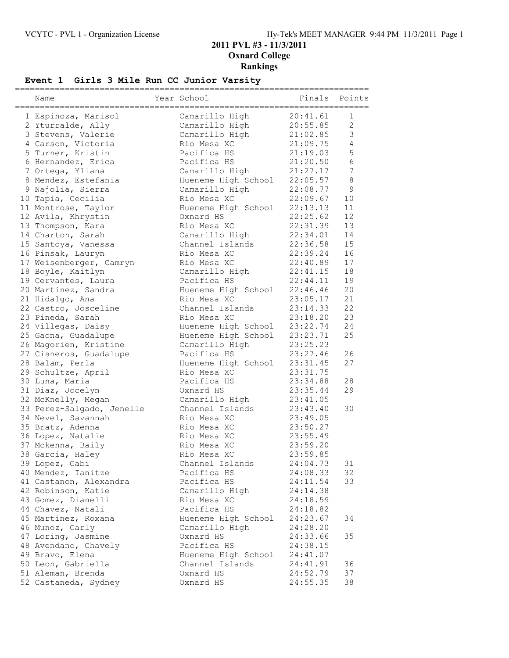### **Event 1 Girls 3 Mile Run CC Junior Varsity**

| Name                      | Year School         | Finals   | Points          |
|---------------------------|---------------------|----------|-----------------|
| 1 Espinoza, Marisol       | Camarillo High      | 20:41.61 | 1               |
|                           |                     |          | 2               |
| 2 Yturralde, Ally         | Camarillo High      | 20:55.85 | 3               |
| 3 Stevens, Valerie        | Camarillo High      | 21:02.85 |                 |
| 4 Carson, Victoria        | Rio Mesa XC         | 21:09.75 | 4               |
| 5 Turner, Kristin         | Pacifica HS         | 21:19.03 | 5               |
| 6 Hernandez, Erica        | Pacifica HS         | 21:20.50 | $6\phantom{.}6$ |
| 7 Ortega, Yliana          | Camarillo High      | 21:27.17 | 7               |
| 8 Mendez, Estefania       | Hueneme High School | 22:05.57 | $\,8\,$         |
| 9 Najolia, Sierra         | Camarillo High      | 22:08.77 | 9               |
| 10 Tapia, Cecilia         | Rio Mesa XC         | 22:09.67 | 10              |
| 11 Montrose, Taylor       | Hueneme High School | 22:13.13 | 11              |
| 12 Avila, Khrystin        | Oxnard HS           | 22:25.62 | 12              |
| 13 Thompson, Kara         | Rio Mesa XC         | 22:31.39 | 13              |
| 14 Charton, Sarah         | Camarillo High      | 22:34.01 | 14              |
| 15 Santoya, Vanessa       | Channel Islands     | 22:36.58 | 15              |
| 16 Pinsak, Lauryn         | Rio Mesa XC         | 22:39.24 | 16              |
| 17 Weisenberger, Camryn   | Rio Mesa XC         | 22:40.89 | 17              |
| 18 Boyle, Kaitlyn         | Camarillo High      | 22:41.15 | 18              |
| 19 Cervantes, Laura       | Pacifica HS         | 22:44.11 | 19              |
| 20 Martinez, Sandra       | Hueneme High School | 22:46.46 | 20              |
| 21 Hidalgo, Ana           | Rio Mesa XC         | 23:05.17 | 21              |
| 22 Castro, Josceline      | Channel Islands     | 23:14.33 | 22              |
| 23 Pineda, Sarah          | Rio Mesa XC         | 23:18.20 | 23              |
| 24 Villegas, Daisy        | Hueneme High School | 23:22.74 | 24              |
| 25 Gaona, Guadalupe       | Hueneme High School | 23:23.71 | 25              |
| 26 Magorien, Kristine     | Camarillo High      | 23:25.23 |                 |
| 27 Cisneros, Guadalupe    | Pacifica HS         | 23:27.46 | 26              |
| 28 Balam, Perla           | Hueneme High School | 23:31.45 | 27              |
|                           |                     |          |                 |
| 29 Schultze, April        | Rio Mesa XC         | 23:31.75 |                 |
| 30 Luna, Maria            | Pacifica HS         | 23:34.88 | 28              |
| 31 Diaz, Jocelyn          | Oxnard HS           | 23:35.44 | 29              |
| 32 McKnelly, Megan        | Camarillo High      | 23:41.05 |                 |
| 33 Perez-Salgado, Jenelle | Channel Islands     | 23:43.40 | 30              |
| 34 Nevel, Savannah        | Rio Mesa XC         | 23:49.05 |                 |
| 35 Bratz, Adenna          | Rio Mesa XC         | 23:50.27 |                 |
| 36 Lopez, Natalie         | Rio Mesa XC         | 23:55.49 |                 |
| 37 Mckenna, Baily         | Rio Mesa XC         | 23:59.20 |                 |
| 38 Garcia, Haley          | Rio Mesa XC         | 23:59.85 |                 |
| 39 Lopez, Gabi            | Channel Islands     | 24:04.73 | 31              |
| 40 Mendez, Ianitze        | Pacifica HS         | 24:08.33 | 32              |
| 41 Castanon, Alexandra    | Pacifica HS         | 24:11.54 | 33              |
| 42 Robinson, Katie        | Camarillo High      | 24:14.38 |                 |
| 43 Gomez, Dianelli        | Rio Mesa XC         | 24:18.59 |                 |
| 44 Chavez, Natali         | Pacifica HS         | 24:18.82 |                 |
| 45 Martinez, Roxana       | Hueneme High School | 24:23.67 | 34              |
| 46 Munoz, Carly           | Camarillo High      | 24:28.20 |                 |
| 47 Loring, Jasmine        | Oxnard HS           | 24:33.66 | 35              |
| 48 Avendano, Chavely      | Pacifica HS         | 24:38.15 |                 |
| 49 Bravo, Elena           | Hueneme High School | 24:41.07 |                 |
| 50 Leon, Gabriella        | Channel Islands     | 24:41.91 | 36              |
| 51 Aleman, Brenda         | Oxnard HS           | 24:52.79 | 37              |
| 52 Castaneda, Sydney      | Oxnard HS           | 24:55.35 | 38              |
|                           |                     |          |                 |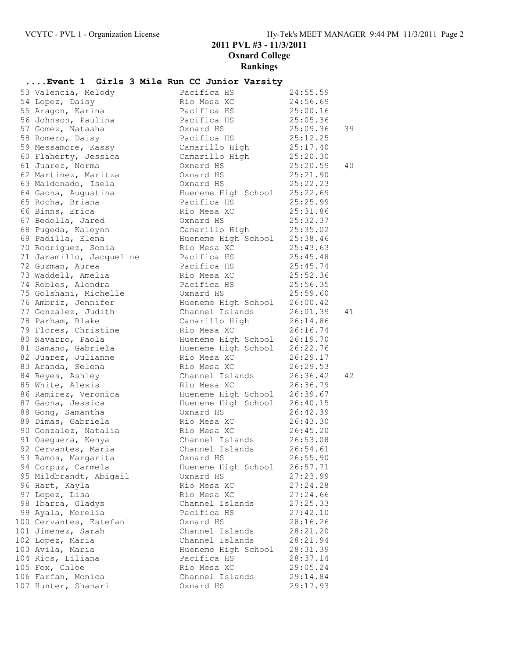# **....Event 1 Girls 3 Mile Run CC Junior Varsity**

| 53 Valencia, Melody                        | Pacifica HS                                 | 24:55.59                |    |
|--------------------------------------------|---------------------------------------------|-------------------------|----|
| 54 Lopez, Daisy                            | Rio Mesa XC<br>Pacifica HS                  | 24:56.69                |    |
| 55 Aragon, Karina                          |                                             | 25:00.16                |    |
| 56 Johnson, Paulina                        | Pacifica HS                                 | 25:05.36                |    |
| 57 Gomez, Natasha                          | Oxnard HS                                   | 25:09.36                | 39 |
| 58 Romero, Daisy                           | Pacifica HS                                 | 25:12.25                |    |
| 59 Messamore, Kassy                        | Camarillo High                              | 25:17.40                |    |
| 60 Flaherty, Jessica                       | Camarillo High                              | 25:20.30                |    |
| 61 Juarez, Norma                           | Oxnard HS                                   | 25:20.59                | 40 |
| 62 Martinez, Maritza                       | Oxnard HS                                   | 25:21.90                |    |
| 63 Maldonado, Isela                        | Oxnard HS                                   | 25:22.23                |    |
| 64 Gaona, Augustina                        | Hueneme High School 25:22.69                |                         |    |
| 65 Rocha, Briana                           | Pacifica HS                                 | 25:25.99                |    |
| 66 Binns, Erica                            | Rio Mesa XC                                 | 25:31.86                |    |
| 67 Bedolla, Jared                          | Oxnard HS                                   | 25:32.37                |    |
| 68 Pugeda, Kaleynn                         | Camarillo High                              | 25:35.02                |    |
| 69 Padilla, Elena                          | Hueneme High School 25:38.46                |                         |    |
| 70 Rodriguez, Sonia                        | Rio Mesa XC                                 | 25:43.63                |    |
| 71 Jaramillo, Jacqueline                   | Pacifica HS                                 | 25:45.48                |    |
| 72 Guzman, Aurea                           | Pacifica HS                                 | 25:45.74                |    |
| 73 Waddell, Amelia                         | Rio Mesa XC                                 | 25:52.36                |    |
| 74 Robles, Alondra                         | Pacifica HS                                 | 25:56.35                |    |
| 75 Golshani, Michelle                      | Oxnard HS                                   | 25:59.60                |    |
| 76 Ambriz, Jennifer                        | Hueneme High School                         | 26:00.42                |    |
| 77 Gonzalez, Judith                        | Channel Islands                             | 26:01.39                | 41 |
| 78 Parham, Blake                           | Camarillo High                              | $26:1.74$<br>$26:16.74$ |    |
| 79 Flores, Christine                       | Rio Mesa XC<br>Hueneme High School 26:19.70 |                         |    |
| 80 Navarro, Paola                          |                                             |                         |    |
| 81 Samano, Gabriela<br>82 Juarez, Julianne | Hueneme High School 26:22.76                | 26:29.17                |    |
| 83 Aranda, Selena                          | Rio Mesa XC<br>Rio Mesa XC                  | 26:29.53                |    |
| 84 Reyes, Ashley                           | Channel Islands                             | 26:36.42                | 42 |
| 85 White, Alexis                           | Rio Mesa XC                                 | 26:36.79                |    |
| 86 Ramirez, Veronica                       | Hueneme High School 26:39.67                |                         |    |
| 87 Gaona, Jessica                          | Hueneme High School                         | 26:40.15                |    |
| 88 Gong, Samantha                          | Oxnard HS                                   | 26:42.39                |    |
| 89 Dimas, Gabriela                         | Rio Mesa XC                                 | 26:43.30                |    |
| 90 Gonzalez, Natalia                       | Rio Mesa XC                                 | 26:45.20                |    |
| 91 Oseguera, Kenya                         | Channel Islands                             | 26:53.08                |    |
| 92 Cervantes, Maria                        | Channel Islands 26:54.61                    |                         |    |
| 93 Ramos, Margarita                        | Oxnard HS                                   | 26:55.90                |    |
| 94 Corpuz, Carmela                         | Hueneme High School                         | 26:57.71                |    |
| 95 Mildbrandt, Abigail                     | Oxnard HS                                   | 27:23.99                |    |
| 96 Hart, Kayla                             | Rio Mesa XC                                 | 27:24.28                |    |
| 97 Lopez, Lisa                             | Rio Mesa XC                                 | 27:24.66                |    |
| 98 Ibarra, Gladys                          | Channel Islands                             | 27:25.33                |    |
| 99 Ayala, Morelia                          | Pacifica HS                                 | 27:42.10                |    |
| 100 Cervantes, Estefani                    | Oxnard HS                                   | 28:16.26                |    |
| 101 Jimenez, Sarah                         | Channel Islands                             | 28:21.20                |    |
| 102 Lopez, Maria                           | Channel Islands                             | 28:21.94                |    |
| 103 Avila, Maria                           | Hueneme High School                         | 28:31.39                |    |
| 104 Rios, Liliana                          | Pacifica HS                                 | 28:37.14                |    |
| 105 Fox, Chloe                             | Rio Mesa XC                                 | 29:05.24                |    |
| 106 Farfan, Monica                         | Channel Islands                             | 29:14.84                |    |
| 107 Hunter, Shanari                        | Oxnard HS                                   | 29:17.93                |    |